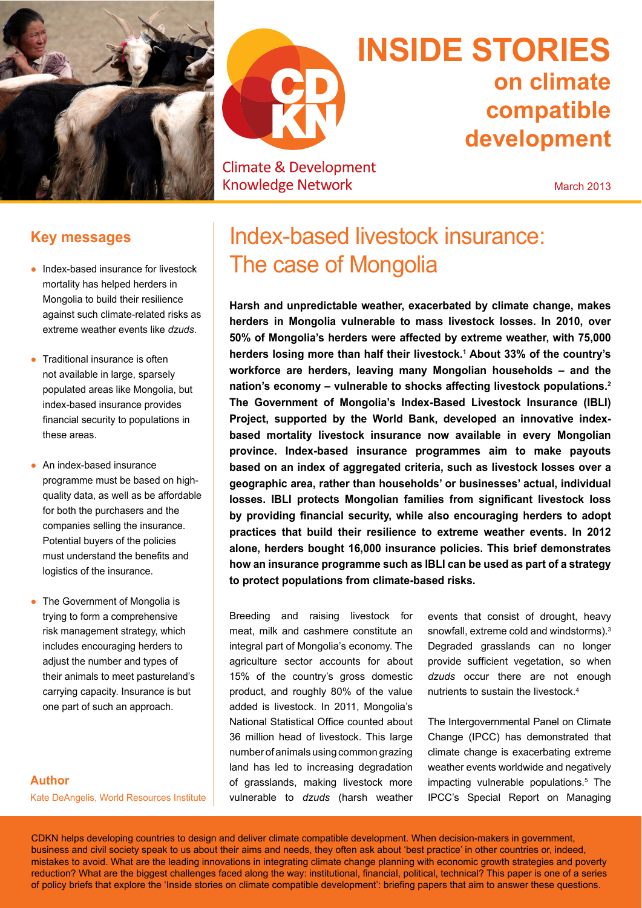



# **Climate & Development Knowledge Network**

# **INsIDe stoRIes on climate compatible development**

March 2013

# **Key messages**

- Index-based insurance for livestock mortality has helped herders in Mongolia to build their resilience against such climate-related risks as extreme weather events like *dzuds*.
- Ɣ Traditional insurance is often not available in large, sparsely populated areas like Mongolia, but index-based insurance provides financial security to populations in these areas.
- An index-based insurance programme must be based on highquality data, as well as be affordable for both the purchasers and the companies selling the insurance. Potential buyers of the policies must understand the benefits and logistics of the insurance.
- The Government of Mongolia is trying to form a comprehensive risk management strategy, which includes encouraging herders to adjust the number and types of their animals to meet pastureland's carrying capacity. Insurance is but one part of such an approach.

# **Author**

Kate DeAngelis, World Resources Institute

# Index-based livestock insurance: The case of Mongolia

**Harsh and unpredictable weather, exacerbated by climate change, makes herders in Mongolia vulnerable to mass livestock losses. In 2010, over 50% of Mongolia's herders were affected by extreme weather, with 75,000 herders losing more than half their livestock.1 About 33% of the country's workforce are herders, leaving many Mongolian households – and the nation's economy – vulnerable to shocks affecting livestock populations.2 the Government of Mongolia's Index-Based Livestock Insurance (IBLI) Project, supported by the World Bank, developed an innovative indexbased mortality livestock insurance now available in every Mongolian province. Index-based insurance programmes aim to make payouts based on an index of aggregated criteria, such as livestock losses over a geographic area, rather than households' or businesses' actual, individual losses. IBLI protects Mongolian families from significant livestock loss** by providing financial security, while also encouraging herders to adopt **practices that build their resilience to extreme weather events. In 2012 alone, herders bought 16,000 insurance policies. this brief demonstrates how an insurance programme such as IBLI can be used as part of a strategy to protect populations from climate-based risks.**

Breeding and raising livestock for meat, milk and cashmere constitute an integral part of Mongolia's economy. The agriculture sector accounts for about 15% of the country's gross domestic product, and roughly 80% of the value added is livestock. In 2011, Mongolia's National Statistical Office counted about 36 million head of livestock. This large number of animals using common grazing land has led to increasing degradation of grasslands, making livestock more vulnerable to *dzuds* (harsh weather events that consist of drought, heavy snowfall, extreme cold and windstorms).3 Degraded grasslands can no longer provide sufficient vegetation, so when *dzuds* occur there are not enough nutrients to sustain the livestock.4

The Intergovernmental Panel on Climate Change (IPCC) has demonstrated that climate change is exacerbating extreme weather events worldwide and negatively impacting vulnerable populations.<sup>5</sup> The IPCC's Special Report on Managing

CDKN helps developing countries to design and deliver climate compatible development. When decision-makers in government, business and civil society speak to us about their aims and needs, they often ask about 'best practice' in other countries or, indeed, mistakes to avoid. What are the leading innovations in integrating climate change planning with economic growth strategies and poverty reduction? What are the biggest challenges faced along the way: institutional, financial, political, technical? This paper is one of a series of policy briefs that explore the 'Inside stories on climate compatible development': briefing papers that aim to answer these questions.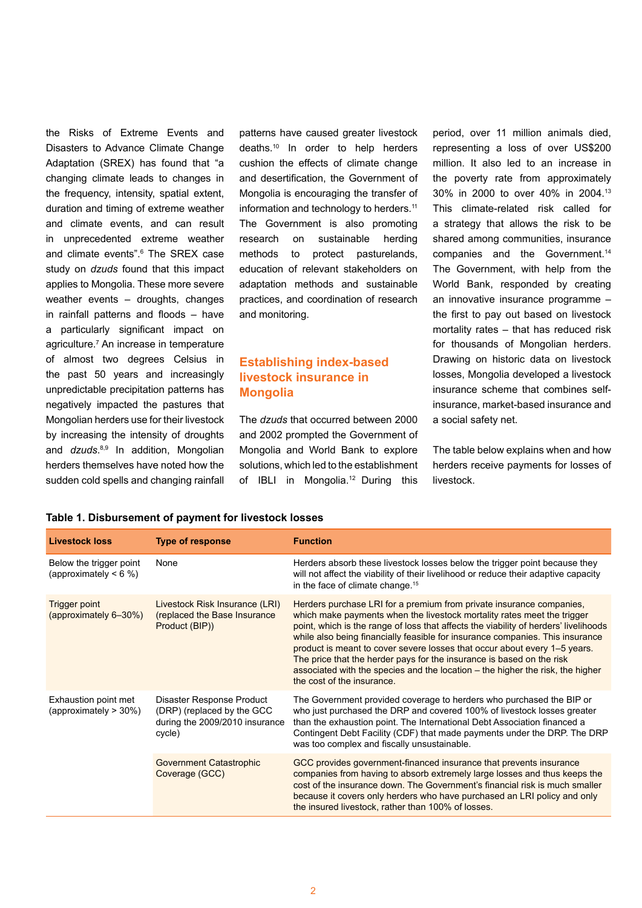the Risks of Extreme Events and Disasters to Advance Climate Change Adaptation (SREX) has found that "a changing climate leads to changes in the frequency, intensity, spatial extent, duration and timing of extreme weather and climate events, and can result in unprecedented extreme weather and climate events".<sup>6</sup> The SREX case study on *dzuds* found that this impact applies to Mongolia. These more severe weather events – droughts, changes in rainfall patterns and floods  $-$  have a particularly significant impact on agriculture.7 An increase in temperature of almost two degrees Celsius in the past 50 years and increasingly unpredictable precipitation patterns has negatively impacted the pastures that Mongolian herders use for their livestock by increasing the intensity of droughts and *dzuds*. 8,9 In addition, Mongolian herders themselves have noted how the sudden cold spells and changing rainfall

patterns have caused greater livestock deaths.10 In order to help herders cushion the effects of climate change and desertification, the Government of Mongolia is encouraging the transfer of information and technology to herders.<sup>11</sup> The Government is also promoting research on sustainable herding methods to protect pasturelands, education of relevant stakeholders on adaptation methods and sustainable practices, and coordination of research and monitoring.

# **establishing index-based livestock insurance in Mongolia**

The *dzuds* that occurred between 2000 and 2002 prompted the Government of Mongolia and World Bank to explore solutions, which led to the establishment of IBLI in Mongolia.<sup>12</sup> During this

period, over 11 million animals died, representing a loss of over US\$200 million. It also led to an increase in the poverty rate from approximately 30% in 2000 to over 40% in 2004.13 This climate-related risk called for a strategy that allows the risk to be shared among communities, insurance companies and the Government.<sup>14</sup> The Government, with help from the World Bank, responded by creating an innovative insurance programme – the first to pay out based on livestock mortality rates – that has reduced risk for thousands of Mongolian herders. Drawing on historic data on livestock losses, Mongolia developed a livestock insurance scheme that combines selfinsurance, market-based insurance and a social safety net.

The table below explains when and how herders receive payments for losses of livestock.

| <b>Livestock loss</b>                                 | <b>Type of response</b>                                                                             | <b>Function</b>                                                                                                                                                                                                                                                                                                                                                                                                                                                                                                                                                                                |
|-------------------------------------------------------|-----------------------------------------------------------------------------------------------------|------------------------------------------------------------------------------------------------------------------------------------------------------------------------------------------------------------------------------------------------------------------------------------------------------------------------------------------------------------------------------------------------------------------------------------------------------------------------------------------------------------------------------------------------------------------------------------------------|
| Below the trigger point<br>(approximately $\leq 6$ %) | None                                                                                                | Herders absorb these livestock losses below the trigger point because they<br>will not affect the viability of their livelihood or reduce their adaptive capacity<br>in the face of climate change. <sup>15</sup>                                                                                                                                                                                                                                                                                                                                                                              |
| <b>Trigger point</b><br>(approximately 6-30%)         | Livestock Risk Insurance (LRI)<br>(replaced the Base Insurance)<br>Product (BIP))                   | Herders purchase LRI for a premium from private insurance companies,<br>which make payments when the livestock mortality rates meet the trigger<br>point, which is the range of loss that affects the viability of herders' livelihoods<br>while also being financially feasible for insurance companies. This insurance<br>product is meant to cover severe losses that occur about every 1-5 years.<br>The price that the herder pays for the insurance is based on the risk<br>associated with the species and the location – the higher the risk, the higher<br>the cost of the insurance. |
| Exhaustion point met<br>(approximately > 30%)         | Disaster Response Product<br>(DRP) (replaced by the GCC<br>during the 2009/2010 insurance<br>cycle) | The Government provided coverage to herders who purchased the BIP or<br>who just purchased the DRP and covered 100% of livestock losses greater<br>than the exhaustion point. The International Debt Association financed a<br>Contingent Debt Facility (CDF) that made payments under the DRP. The DRP<br>was too complex and fiscally unsustainable.                                                                                                                                                                                                                                         |
|                                                       | <b>Government Catastrophic</b><br>Coverage (GCC)                                                    | GCC provides government-financed insurance that prevents insurance<br>companies from having to absorb extremely large losses and thus keeps the<br>cost of the insurance down. The Government's financial risk is much smaller<br>because it covers only herders who have purchased an LRI policy and only<br>the insured livestock, rather than 100% of losses.                                                                                                                                                                                                                               |

#### **table 1. Disbursement of payment for livestock losses**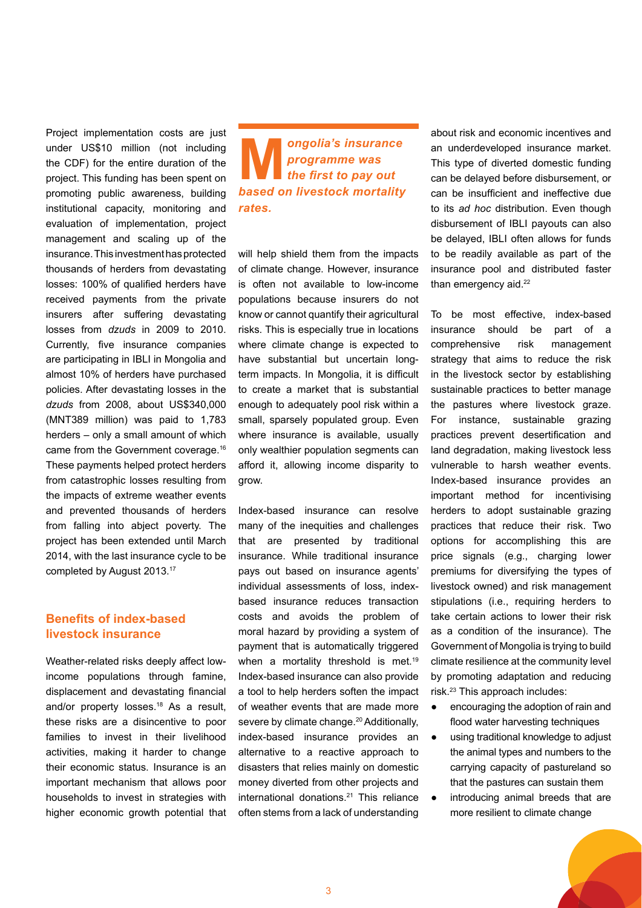Project implementation costs are just under US\$10 million (not including the CDF) for the entire duration of the project. This funding has been spent on promoting public awareness, building institutional capacity, monitoring and evaluation of implementation, project management and scaling up of the insurance. This investment has protected thousands of herders from devastating losses: 100% of qualified herders have received payments from the private insurers after suffering devastating losses from *dzuds* in 2009 to 2010. Currently, five insurance companies are participating in IBLI in Mongolia and almost 10% of herders have purchased policies. After devastating losses in the *dzuds* from 2008, about US\$340,000 (MNT389 million) was paid to 1,783 herders – only a small amount of which came from the Government coverage.16 These payments helped protect herders from catastrophic losses resulting from the impacts of extreme weather events and prevented thousands of herders from falling into abject poverty. The project has been extended until March 2014, with the last insurance cycle to be completed by August 2013.17

## **Benefits of index-based livestock insurance**

Weather-related risks deeply affect lowincome populations through famine, displacement and devastating financial and/or property losses.18 As a result, these risks are a disincentive to poor families to invest in their livelihood activities, making it harder to change their economic status. Insurance is an important mechanism that allows poor households to invest in strategies with higher economic growth potential that

# **M***ongolia's insurance programme was the first to pay out* **based on livestock mortality** *rates.*

will help shield them from the impacts of climate change. However, insurance is often not available to low-income populations because insurers do not know or cannot quantify their agricultural risks. This is especially true in locations where climate change is expected to have substantial but uncertain longterm impacts. In Mongolia, it is difficult to create a market that is substantial enough to adequately pool risk within a small, sparsely populated group. Even where insurance is available, usually only wealthier population segments can afford it, allowing income disparity to grow.

Index-based insurance can resolve many of the inequities and challenges that are presented by traditional insurance. While traditional insurance pays out based on insurance agents' individual assessments of loss, indexbased insurance reduces transaction costs and avoids the problem of moral hazard by providing a system of payment that is automatically triggered when a mortality threshold is met.<sup>19</sup> Index-based insurance can also provide a tool to help herders soften the impact of weather events that are made more severe by climate change.<sup>20</sup> Additionally, index-based insurance provides an alternative to a reactive approach to disasters that relies mainly on domestic money diverted from other projects and international donations.21 This reliance often stems from a lack of understanding

about risk and economic incentives and an underdeveloped insurance market. This type of diverted domestic funding can be delayed before disbursement, or can be insufficient and ineffective due to its *ad hoc* distribution. Even though disbursement of IBLI payouts can also be delayed, IBLI often allows for funds to be readily available as part of the insurance pool and distributed faster than emergency aid.<sup>22</sup>

To be most effective, index-based insurance should be part of a comprehensive risk management strategy that aims to reduce the risk in the livestock sector by establishing sustainable practices to better manage the pastures where livestock graze. For instance, sustainable grazing practices prevent desertification and land degradation, making livestock less vulnerable to harsh weather events. Index-based insurance provides an important method for incentivising herders to adopt sustainable grazing practices that reduce their risk. Two options for accomplishing this are price signals (e.g., charging lower premiums for diversifying the types of livestock owned) and risk management stipulations (i.e., requiring herders to take certain actions to lower their risk as a condition of the insurance). The Government of Mongolia is trying to build climate resilience at the community level by promoting adaptation and reducing risk.23 This approach includes:

- encouraging the adoption of rain and flood water harvesting techniques
- using traditional knowledge to adjust the animal types and numbers to the carrying capacity of pastureland so that the pastures can sustain them
- introducing animal breeds that are more resilient to climate change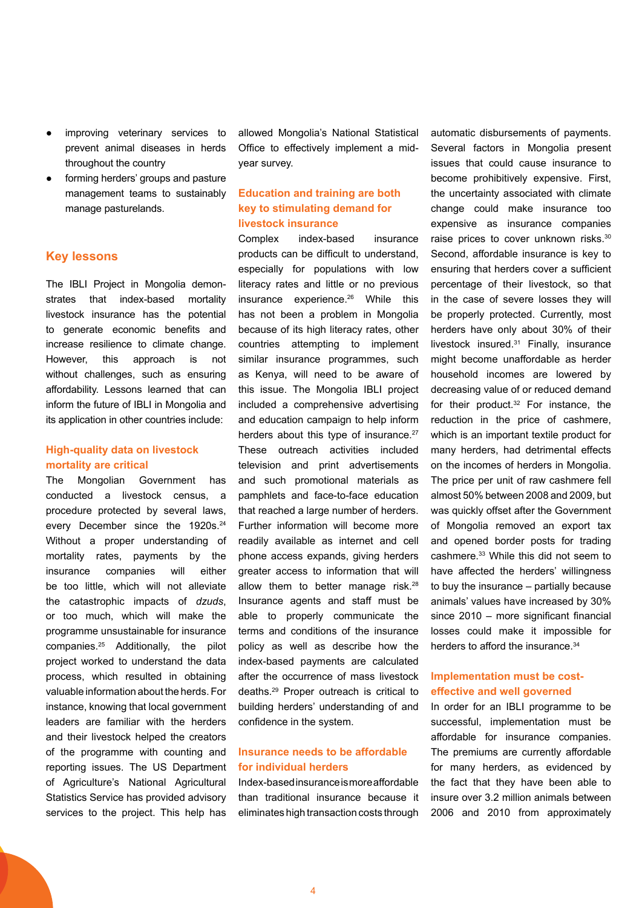- improving veterinary services to prevent animal diseases in herds throughout the country
- forming herders' groups and pasture management teams to sustainably manage pasturelands.

#### **Key lessons**

The IBLI Project in Mongolia demonstrates that index-based mortality livestock insurance has the potential to generate economic benefits and increase resilience to climate change. However, this approach is not without challenges, such as ensuring affordability. Lessons learned that can inform the future of IBLI in Mongolia and its application in other countries include:

#### **High-quality data on livestock mortality are critical**

The Mongolian Government has conducted a livestock census, a procedure protected by several laws, every December since the 1920s.<sup>24</sup> Without a proper understanding of mortality rates, payments by the insurance companies will either be too little, which will not alleviate the catastrophic impacts of *dzuds*, or too much, which will make the programme unsustainable for insurance companies.25 Additionally, the pilot project worked to understand the data process, which resulted in obtaining valuable information about the herds. For instance, knowing that local government leaders are familiar with the herders and their livestock helped the creators of the programme with counting and reporting issues. The US Department of Agriculture's National Agricultural Statistics Service has provided advisory services to the project. This help has

allowed Mongolia's National Statistical Office to effectively implement a midyear survey.

## **education and training are both key to stimulating demand for livestock insurance**

Complex index-based insurance products can be difficult to understand, especially for populations with low literacy rates and little or no previous insurance experience.<sup>26</sup> While this has not been a problem in Mongolia because of its high literacy rates, other countries attempting to implement similar insurance programmes, such as Kenya, will need to be aware of this issue. The Mongolia IBLI project included a comprehensive advertising and education campaign to help inform herders about this type of insurance.<sup>27</sup> These outreach activities included television and print advertisements and such promotional materials as pamphlets and face-to-face education that reached a large number of herders. Further information will become more readily available as internet and cell phone access expands, giving herders greater access to information that will allow them to better manage risk.<sup>28</sup> Insurance agents and staff must be able to properly communicate the terms and conditions of the insurance policy as well as describe how the index-based payments are calculated after the occurrence of mass livestock deaths.29 Proper outreach is critical to building herders' understanding of and confidence in the system.

#### **Insurance needs to be affordable for individual herders**

Index-based insurance is more affordable than traditional insurance because it eliminates high transaction costs through

automatic disbursements of payments. Several factors in Mongolia present issues that could cause insurance to become prohibitively expensive. First, the uncertainty associated with climate change could make insurance too expensive as insurance companies raise prices to cover unknown risks.<sup>30</sup> Second, affordable insurance is key to ensuring that herders cover a sufficient percentage of their livestock, so that in the case of severe losses they will be properly protected. Currently, most herders have only about 30% of their livestock insured.31 Finally, insurance might become unaffordable as herder household incomes are lowered by decreasing value of or reduced demand for their product.32 For instance, the reduction in the price of cashmere, which is an important textile product for many herders, had detrimental effects on the incomes of herders in Mongolia. The price per unit of raw cashmere fell almost 50% between 2008 and 2009, but was quickly offset after the Government of Mongolia removed an export tax and opened border posts for trading cashmere.33 While this did not seem to have affected the herders' willingness to buy the insurance – partially because animals' values have increased by 30% since  $2010$  – more significant financial losses could make it impossible for herders to afford the insurance.<sup>34</sup>

## **Implementation must be costeffective and well governed**

In order for an IBLI programme to be successful, implementation must be affordable for insurance companies. The premiums are currently affordable for many herders, as evidenced by the fact that they have been able to insure over 3.2 million animals between 2006 and 2010 from approximately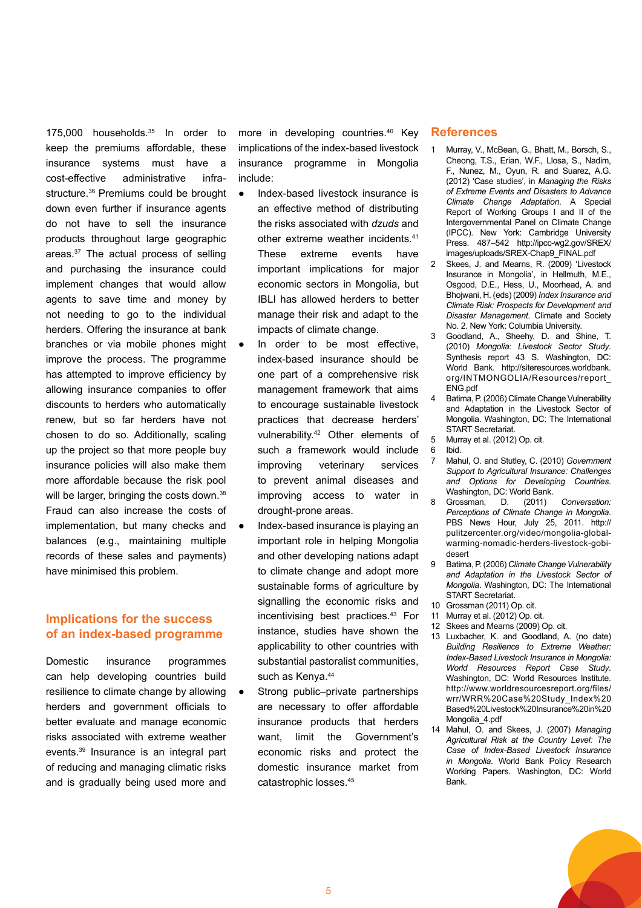175,000 households.35 In order to keep the premiums affordable, these insurance systems must have a cost-effective administrative infrastructure.36 Premiums could be brought down even further if insurance agents do not have to sell the insurance products throughout large geographic areas.37 The actual process of selling and purchasing the insurance could implement changes that would allow agents to save time and money by not needing to go to the individual herders. Offering the insurance at bank branches or via mobile phones might improve the process. The programme has attempted to improve efficiency by allowing insurance companies to offer discounts to herders who automatically renew, but so far herders have not chosen to do so. Additionally, scaling up the project so that more people buy insurance policies will also make them more affordable because the risk pool will be larger, bringing the costs down.<sup>38</sup> Fraud can also increase the costs of implementation, but many checks and balances (e.g., maintaining multiple records of these sales and payments) have minimised this problem.

## **Implications for the success of an index-based programme**

Domestic insurance programmes can help developing countries build resilience to climate change by allowing herders and government officials to better evaluate and manage economic risks associated with extreme weather events.39 Insurance is an integral part of reducing and managing climatic risks and is gradually being used more and

more in developing countries.40 Key implications of the index-based livestock insurance programme in Mongolia include:

- Index-based livestock insurance is an effective method of distributing the risks associated with *dzuds* and other extreme weather incidents.41 These extreme events have important implications for major economic sectors in Mongolia, but IBLI has allowed herders to better manage their risk and adapt to the impacts of climate change.
- In order to be most effective, index-based insurance should be one part of a comprehensive risk management framework that aims to encourage sustainable livestock practices that decrease herders' vulnerability.42 Other elements of such a framework would include improving veterinary services to prevent animal diseases and improving access to water in drought-prone areas.
- Index-based insurance is playing an important role in helping Mongolia and other developing nations adapt to climate change and adopt more sustainable forms of agriculture by signalling the economic risks and incentivising best practices.43 For instance, studies have shown the applicability to other countries with substantial pastoralist communities, such as Kenya.<sup>44</sup>
- Strong public–private partnerships are necessary to offer affordable insurance products that herders want, limit the Government's economic risks and protect the domestic insurance market from catastrophic losses.45

#### **References**

- Murray, V., McBean, G., Bhatt, M., Borsch, S., Cheong, T.S., Erian, W.F., Llosa, S., Nadim, F., Nunez, M., Oyun, R. and Suarez, A.G. (2012) 'Case studies', in *Managing the Risks of Extreme Events and Disasters to Advance Climate Change Adaptation*. A Special Report of Working Groups I and II of the Intergovernmental Panel on Climate Change (IPCC). New York: Cambridge University Press. 487–542 http://ipcc-wg2.gov/SREX/ images/uploads/SREX-Chap9\_FINAL.pdf
- 2 Skees, J. and Mearns, R. (2009) 'Livestock Insurance in Mongolia', in Hellmuth, M.E., Osgood, D.E., Hess, U., Moorhead, A. and Bhojwani, H. (eds) (2009) *Index Insurance and Climate Risk: Prospects for Development and Disaster Management*. Climate and Society No. 2. New York: Columbia University.
- 3 Goodland, A., Sheehy, D. and Shine, T. (2010) *Mongolia: Livestock Sector Study*. Synthesis report 43 S. Washington, DC: World Bank. http://siteresources.worldbank. org/INTMONGOLIA/Resources/report\_ ENG.pdf
- 4 Batima, P. (2006) Climate Change Vulnerability and Adaptation in the Livestock Sector of Mongolia. Washington, DC: The International START Secretariat.
- 5 Murray et al. (2012) Op. cit.
- 6 Ibid.
- 7 Mahul, O. and Stutley, C. (2010) *Government Support to Agricultural Insurance: Challenges and Options for Developing Countries*. Washington, DC: World Bank.
- 8 Grossman, D. (2011) *Conversation: Perceptions of Climate Change in Mongolia*. PBS News Hour, July 25, 2011. http:// pulitzercenter.org/video/mongolia-globalwarming-nomadic-herders-livestock-gobidesert
- 9 Batima, P. (2006) *Climate Change Vulnerability and Adaptation in the Livestock Sector of Mongolia*. Washington, DC: The International START Secretariat.
- 10 Grossman (2011) Op. cit.
- 11 Murray et al. (2012) Op. cit.
- 12 Skees and Mearns (2009) Op. cit.
- 13 Luxbacher, K. and Goodland, A. (no date) *Building Resilience to Extreme Weather: Index-Based Livestock Insurance in Mongolia: World Resources Report Case Study*. Washington, DC: World Resources Institute. http://www.worldresourcesreport.org/files/ wrr/WRR%20Case%20Study\_Index%20 Based%20Livestock%20Insurance%20in%20 Mongolia\_4.pdf
- 14 Mahul, O. and Skees, J. (2007) *Managing Agricultural Risk at the Country Level: The Case of Index-Based Livestock Insurance in Mongolia*. World Bank Policy Research Working Papers. Washington, DC: World Bank.